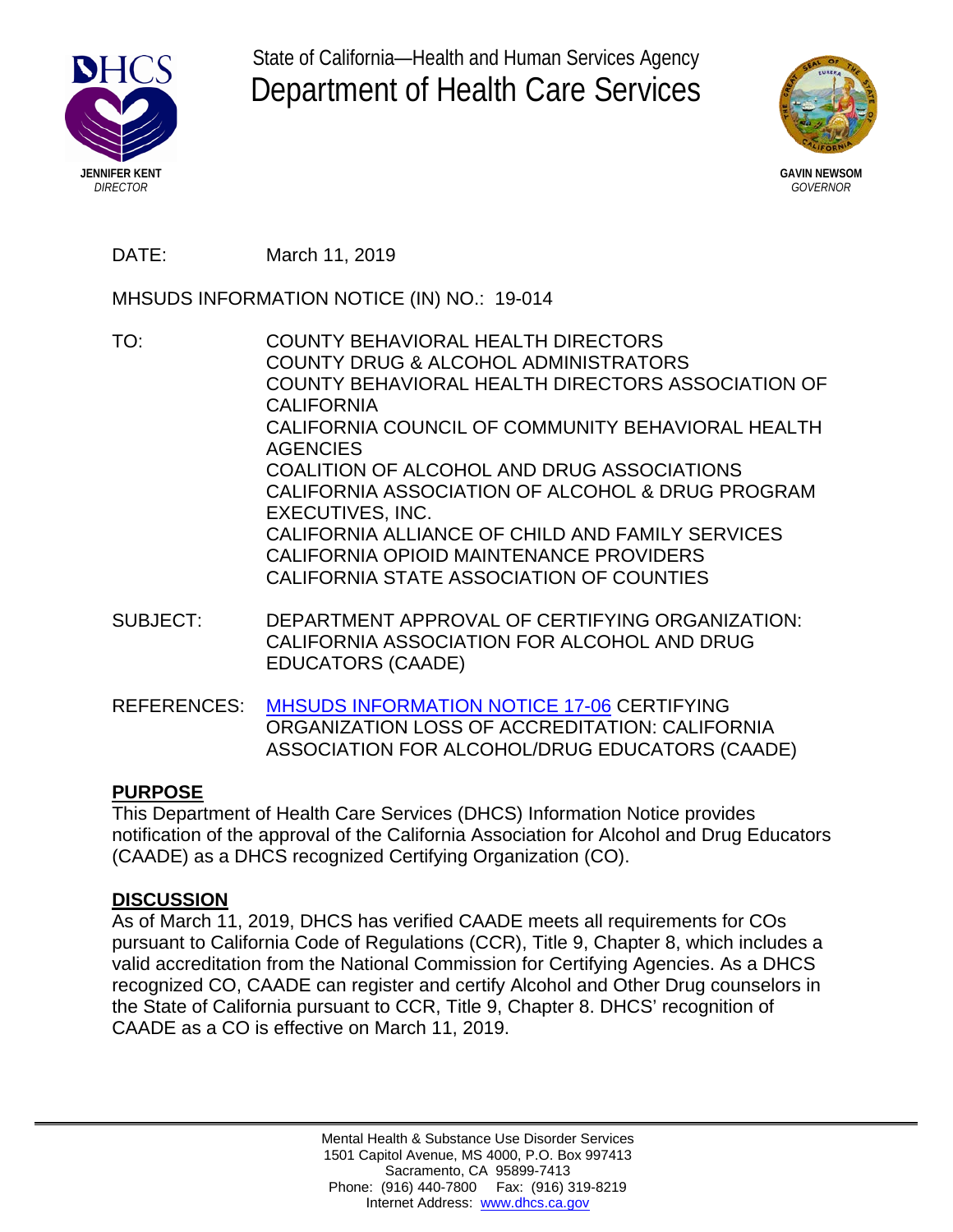

State of California—Health and Human Services Agency Department of Health Care Services



**GAVIN NEWSOM** *GOVERNOR*

DATE: March 11, 2019

MHSUDS INFORMATION NOTICE (IN) NO.: 19-014

TO: COUNTY BEHAVIORAL HEALTH DIRECTORS COUNTY DRUG & ALCOHOL ADMINISTRATORS COUNTY BEHAVIORAL HEALTH DIRECTORS ASSOCIATION OF CALIFORNIA CALIFORNIA COUNCIL OF COMMUNITY BEHAVIORAL HEALTH AGENCIES COALITION OF ALCOHOL AND DRUG ASSOCIATIONS CALIFORNIA ASSOCIATION OF ALCOHOL & DRUG PROGRAM EXECUTIVES, INC. CALIFORNIA ALLIANCE OF CHILD AND FAMILY SERVICES CALIFORNIA OPIOID MAINTENANCE PROVIDERS CALIFORNIA STATE ASSOCIATION OF COUNTIES

SUBJECT: DEPARTMENT APPROVAL OF CERTIFYING ORGANIZATION: CALIFORNIA ASSOCIATION FOR ALCOHOL AND DRUG EDUCATORS (CAADE)

REFERENCES: [MHSUDS INFORMATION NOTICE](https://www.dhcs.ca.gov/formsandpubs/Pages/2017-MHSUDS-Information-Notices.aspx) 17-06 CERTIFYING ORGANIZATION LOSS OF ACCREDITATION: CALIFORNIA ASSOCIATION FOR ALCOHOL/DRUG EDUCATORS (CAADE)

## **PURPOSE**

This Department of Health Care Services (DHCS) Information Notice provides notification of the approval of the California Association for Alcohol and Drug Educators (CAADE) as a DHCS recognized Certifying Organization (CO).

## **DISCUSSION**

As of March 11, 2019, DHCS has verified CAADE meets all requirements for COs pursuant to California Code of Regulations (CCR), Title 9, Chapter 8, which includes a valid accreditation from the National Commission for Certifying Agencies. As a DHCS recognized CO, CAADE can register and certify Alcohol and Other Drug counselors in the State of California pursuant to CCR, Title 9, Chapter 8. DHCS' recognition of CAADE as a CO is effective on March 11, 2019.